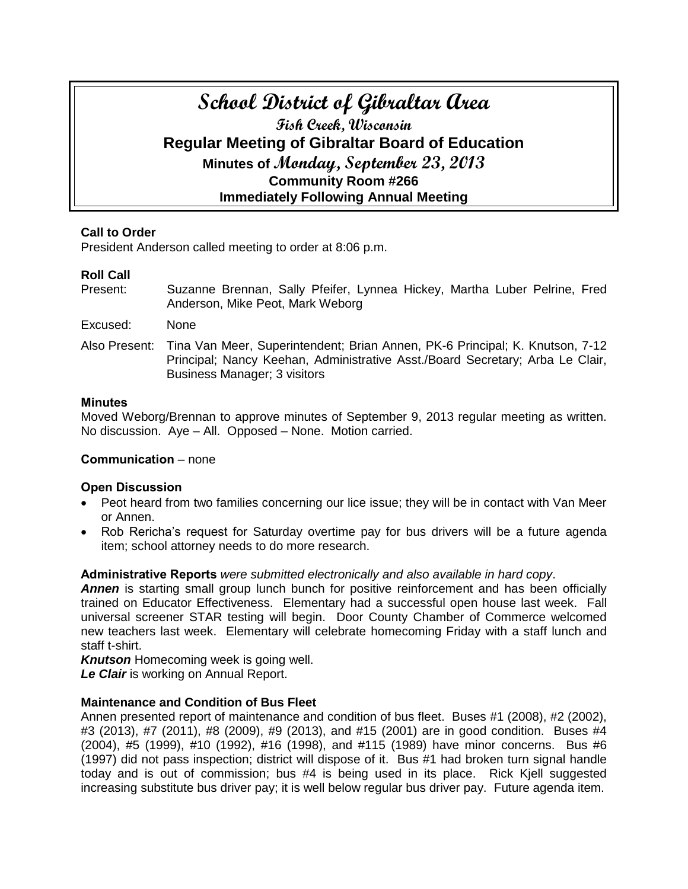# **School District of Gibraltar Area Fish Creek, Wisconsin Regular Meeting of Gibraltar Board of Education Minutes of Monday, September 23, 2013 Community Room #266 Immediately Following Annual Meeting**

# **Call to Order**

President Anderson called meeting to order at 8:06 p.m.

# **Roll Call**

- Present: Suzanne Brennan, Sally Pfeifer, Lynnea Hickey, Martha Luber Pelrine, Fred Anderson, Mike Peot, Mark Weborg
- Excused: None
- Also Present: Tina Van Meer, Superintendent; Brian Annen, PK-6 Principal; K. Knutson, 7-12 Principal; Nancy Keehan, Administrative Asst./Board Secretary; Arba Le Clair, Business Manager; 3 visitors

## **Minutes**

Moved Weborg/Brennan to approve minutes of September 9, 2013 regular meeting as written. No discussion. Aye – All. Opposed – None. Motion carried.

# **Communication** – none

# **Open Discussion**

- Peot heard from two families concerning our lice issue; they will be in contact with Van Meer or Annen.
- Rob Rericha's request for Saturday overtime pay for bus drivers will be a future agenda item; school attorney needs to do more research.

**Administrative Reports** *were submitted electronically and also available in hard copy*.

**Annen** is starting small group lunch bunch for positive reinforcement and has been officially trained on Educator Effectiveness. Elementary had a successful open house last week. Fall universal screener STAR testing will begin. Door County Chamber of Commerce welcomed new teachers last week. Elementary will celebrate homecoming Friday with a staff lunch and staff t-shirt.

*Knutson* Homecoming week is going well. *Le Clair* is working on Annual Report.

# **Maintenance and Condition of Bus Fleet**

Annen presented report of maintenance and condition of bus fleet. Buses #1 (2008), #2 (2002), #3 (2013), #7 (2011), #8 (2009), #9 (2013), and #15 (2001) are in good condition. Buses #4 (2004), #5 (1999), #10 (1992), #16 (1998), and #115 (1989) have minor concerns. Bus #6 (1997) did not pass inspection; district will dispose of it. Bus #1 had broken turn signal handle today and is out of commission; bus #4 is being used in its place. Rick Kjell suggested increasing substitute bus driver pay; it is well below regular bus driver pay. Future agenda item.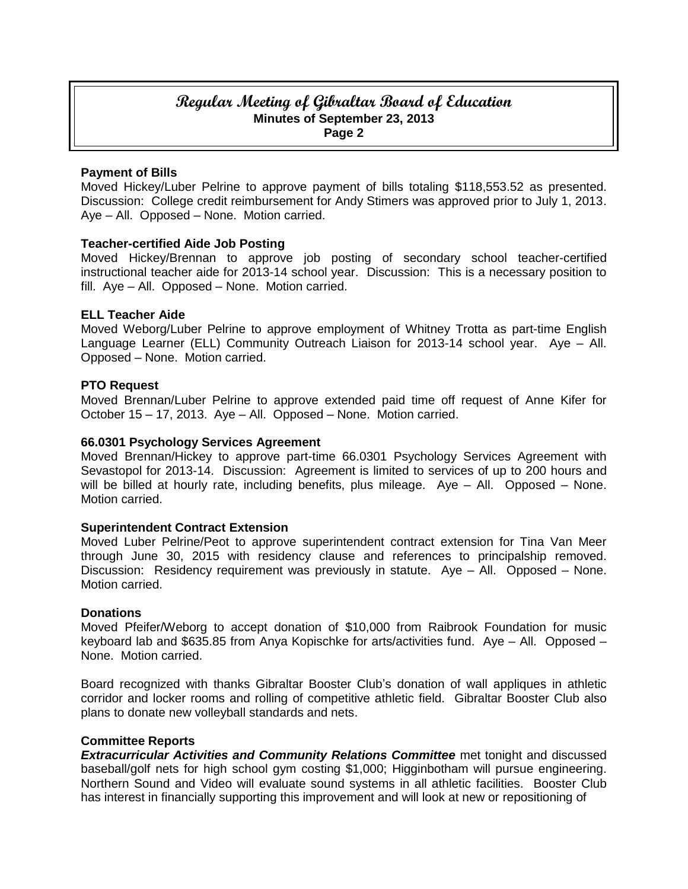# **Regular Meeting of Gibraltar Board of Education Minutes of September 23, 2013 Page 2**

#### **Payment of Bills**

Moved Hickey/Luber Pelrine to approve payment of bills totaling \$118,553.52 as presented. Discussion: College credit reimbursement for Andy Stimers was approved prior to July 1, 2013. Aye – All. Opposed – None. Motion carried.

## **Teacher-certified Aide Job Posting**

Moved Hickey/Brennan to approve job posting of secondary school teacher-certified instructional teacher aide for 2013-14 school year. Discussion: This is a necessary position to fill. Aye – All. Opposed – None. Motion carried.

#### **ELL Teacher Aide**

Moved Weborg/Luber Pelrine to approve employment of Whitney Trotta as part-time English Language Learner (ELL) Community Outreach Liaison for 2013-14 school year. Aye – All. Opposed – None. Motion carried.

#### **PTO Request**

Moved Brennan/Luber Pelrine to approve extended paid time off request of Anne Kifer for October 15 – 17, 2013. Aye – All. Opposed – None. Motion carried.

### **66.0301 Psychology Services Agreement**

Moved Brennan/Hickey to approve part-time 66.0301 Psychology Services Agreement with Sevastopol for 2013-14. Discussion: Agreement is limited to services of up to 200 hours and will be billed at hourly rate, including benefits, plus mileage. Aye - All. Opposed - None. Motion carried.

#### **Superintendent Contract Extension**

Moved Luber Pelrine/Peot to approve superintendent contract extension for Tina Van Meer through June 30, 2015 with residency clause and references to principalship removed. Discussion: Residency requirement was previously in statute. Aye – All. Opposed – None. Motion carried.

#### **Donations**

Moved Pfeifer/Weborg to accept donation of \$10,000 from Raibrook Foundation for music keyboard lab and \$635.85 from Anya Kopischke for arts/activities fund. Aye – All. Opposed – None. Motion carried.

Board recognized with thanks Gibraltar Booster Club's donation of wall appliques in athletic corridor and locker rooms and rolling of competitive athletic field. Gibraltar Booster Club also plans to donate new volleyball standards and nets.

#### **Committee Reports**

*Extracurricular Activities and Community Relations Committee* met tonight and discussed baseball/golf nets for high school gym costing \$1,000; Higginbotham will pursue engineering. Northern Sound and Video will evaluate sound systems in all athletic facilities. Booster Club has interest in financially supporting this improvement and will look at new or repositioning of